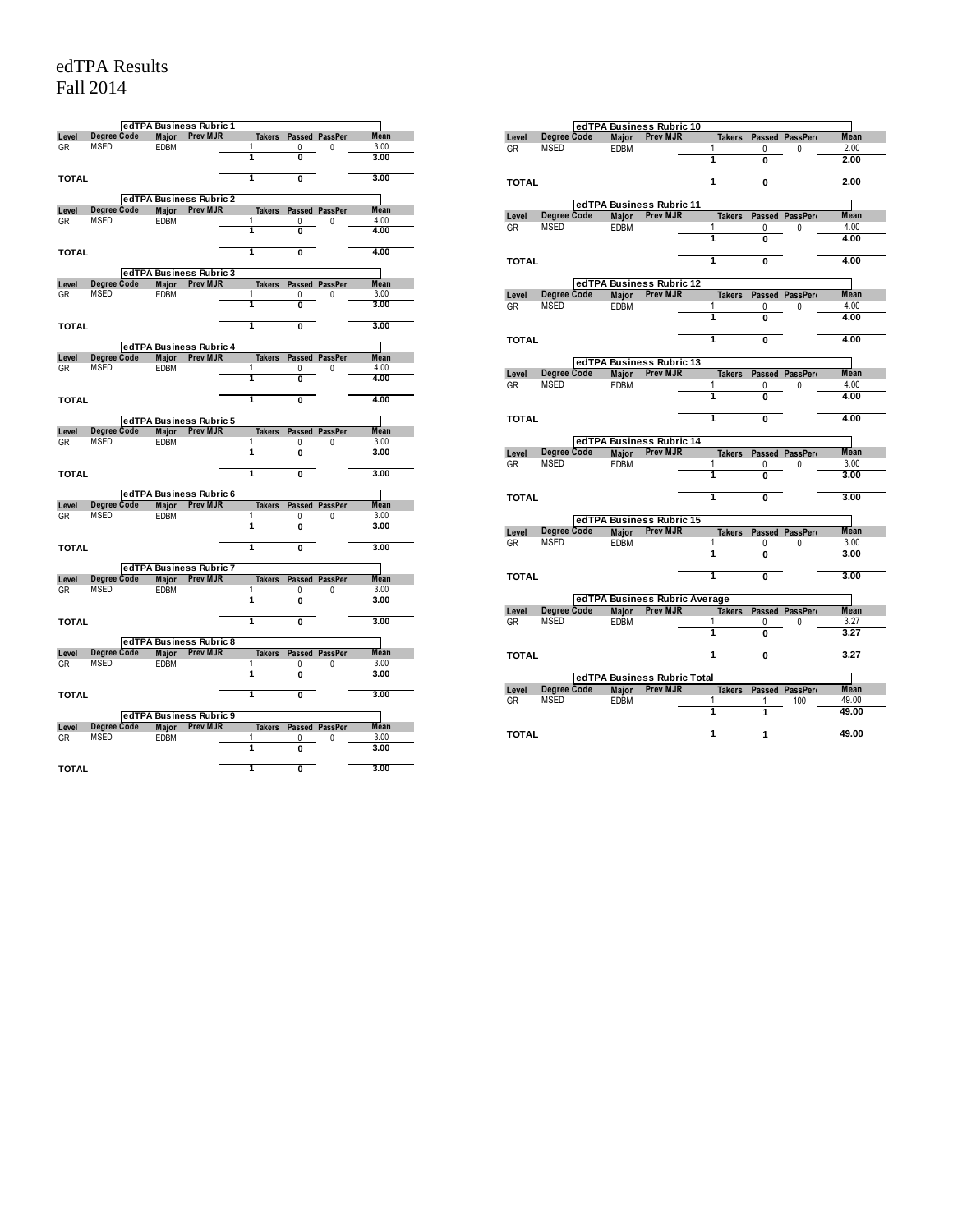## edTPA Results Fall 2014

|              |             |              | edTPA Business Rubric 1                    |                         |                |                       |             |
|--------------|-------------|--------------|--------------------------------------------|-------------------------|----------------|-----------------------|-------------|
| Level        | Degree Code | Major        | <b>Prev MJR</b>                            |                         |                | Takers Passed PassPer | <b>Mean</b> |
| GR           | <b>MSED</b> | EDBM         |                                            | 1                       | 0              | 0                     | 3.00        |
|              |             |              |                                            | 1                       | 0              |                       | 3.00        |
| <b>TOTAL</b> |             |              |                                            | $\overline{\mathbf{1}}$ | $\overline{0}$ |                       | 3.00        |
|              |             |              | edTPA Business Rubric 2                    |                         |                |                       |             |
| Level        | Degree Code | Major        | <b>Prev MJR</b>                            | <b>Takers</b>           |                | Passed PassPer        | <b>Mean</b> |
| GR           | <b>MSED</b> | <b>EDBM</b>  |                                            | 1                       | 0              | 0                     | 4.00        |
|              |             |              |                                            | 1                       | O              |                       | 4.00        |
| <b>TOTAL</b> |             |              |                                            | 1                       | $\overline{0}$ |                       | 4.00        |
|              |             |              | edTPA Business Rubric 3                    |                         |                |                       |             |
| Level        | Degree Code |              | Maior Prev MJR                             |                         |                | Takers Passed PassPer | <b>Mean</b> |
| GR           | MSED        | <b>EDBM</b>  |                                            | 1                       | 0              | 0                     | 3.00        |
|              |             |              |                                            | ī                       | $\overline{0}$ |                       | 3.00        |
| <b>TOTAL</b> |             |              |                                            | 1                       | Ō              |                       | 3.00        |
|              |             |              | edTPA Business Rubric 4                    |                         |                |                       |             |
|              | Degree Code |              | Prev MJR                                   |                         |                |                       | <b>Mean</b> |
| Level        | <b>MSED</b> | <b>Major</b> |                                            | <b>Takers</b><br>1      |                | Passed PassPer        | 4.00        |
| GR           |             | <b>EDBM</b>  |                                            | 1                       | 0<br>O         | 0                     | 4.00        |
|              |             |              |                                            |                         |                |                       |             |
| <b>TOTAL</b> |             |              |                                            | 1                       | $\overline{0}$ |                       | 4.00        |
|              |             |              | edTPA Business Rubric 5                    |                         |                |                       |             |
| Level        | Degree Code | Major        | <b>Prev MJR</b>                            |                         |                | Takers Passed PassPer | <b>Mean</b> |
| GR           | <b>MSED</b> | <b>EDBM</b>  |                                            | 1                       | 0              | 0                     | 3.00        |
|              |             |              |                                            | 1                       | Ō              |                       | 3.00        |
| <b>TOTAL</b> |             |              |                                            | ī                       | Ō              |                       | 3.00        |
|              |             |              | edTPA Business Rubric 6                    |                         |                |                       |             |
| Level        | Degree Code | <b>Maior</b> | <b>Prev MJR</b>                            |                         |                | Takers Passed PassPer | <b>Mean</b> |
| GR           | <b>MSED</b> | <b>EDBM</b>  |                                            | 1                       | 0              | 0                     | 3.00        |
|              |             |              |                                            | 1                       | O              |                       | 3.00        |
| <b>TOTAL</b> |             |              |                                            | 1                       | 0              |                       | 3.00        |
|              |             |              |                                            |                         |                |                       |             |
|              |             |              | edTPA Business Rubric 7                    |                         |                |                       |             |
| Level        | Degree Code | <b>Major</b> | <b>Prev MJR</b>                            |                         |                | Takers Passed PassPer | <b>Mean</b> |
| GR           | MSED        | EDBM         |                                            | 1                       | 0              | 0                     | 3.00        |
|              |             |              |                                            | 1                       | $\overline{0}$ |                       | 3.00        |
| <b>TOTAL</b> |             |              |                                            | 1                       | $\overline{0}$ |                       | 3.00        |
|              |             |              | edTPA Business Rubric 8                    |                         |                |                       |             |
| Level        | Degree Code | Major        | <b>Prev MJR</b>                            |                         |                | Takers Passed PassPer | <b>Mean</b> |
| GR           | <b>MSED</b> | <b>EDBM</b>  |                                            | 1                       | 0              | 0                     | 3.00        |
|              |             |              |                                            | ī                       | 0              |                       | 3.00        |
| <b>TOTAL</b> |             |              |                                            | T                       | Ō              |                       | 3.00        |
|              |             |              |                                            |                         |                |                       |             |
|              | Degree Code | <b>Maior</b> | edTPA Business Rubric 9<br><b>Prev MJR</b> |                         |                | Passed PassPer        | Mean        |
| Level        | <b>MSED</b> |              |                                            | <b>Takers</b><br>1      |                |                       | 3.00        |
| GR           |             | <b>EDBM</b>  |                                            | 1                       | 0<br>0         | 0                     | 3.00        |
|              |             |              |                                            |                         |                |                       |             |
| TOTAL        |             |              |                                            | 1                       | 0              |                       | 3.00        |

|              |             |              | edTPA Business Rubric 10                   |                |                   |                        |              |
|--------------|-------------|--------------|--------------------------------------------|----------------|-------------------|------------------------|--------------|
| Level        | Degree Code | Major        | Prev MJR                                   |                |                   | Takers Passed PassPerr | <b>Mean</b>  |
| GR           | <b>MSED</b> | <b>EDBM</b>  |                                            | 1              | 0                 | 0                      | 2.00         |
|              |             |              |                                            | 1              | O                 |                        | 2.00         |
| <b>TOTAL</b> |             |              |                                            | 1              | Ō                 |                        | 2.00         |
|              |             |              | edTPA Business Rubric 11                   |                |                   |                        |              |
| Level        | Degree Code | Major        | <b>Prev MJR</b>                            |                |                   | Takers Passed PassPerr | <b>Mean</b>  |
| <b>GR</b>    | MSED        | <b>EDBM</b>  |                                            | 1              | 0                 | 0                      | 4.00         |
|              |             |              |                                            | 7              | Ō                 |                        | 4.00         |
| <b>TOTAL</b> |             |              |                                            | 1              | Ō                 |                        | 4.00         |
|              |             |              |                                            |                |                   |                        |              |
| Level        | Degree Code |              | edTPA Business Rubric 12<br>Major Prev MJR |                |                   | Takers Passed PassPero | Mean         |
| <b>GR</b>    | <b>MSED</b> | <b>EDBM</b>  |                                            | 1              | 0                 | 0                      | 4.00         |
|              |             |              |                                            | ī              | $\overline{0}$    |                        | 4.00         |
| <b>TOTAL</b> |             |              |                                            | ī              | $\overline{0}$    |                        | 4.00         |
|              |             |              |                                            |                |                   |                        |              |
|              |             |              | edTPA Business Rubric 13                   |                |                   |                        |              |
| Level        | Degree Code | <b>Maior</b> | <b>Prev MJR</b>                            |                |                   | Takers Passed PassPero | <b>Mean</b>  |
| <b>GR</b>    | <b>MSED</b> | <b>EDBM</b>  |                                            | 1<br>T         | 0<br>Ō            | 0                      | 4.00<br>4.00 |
|              |             |              |                                            |                |                   |                        |              |
| <b>TOTAL</b> |             |              |                                            | ī              | $\overline{0}$    |                        | 4.00         |
|              |             |              | edTPA Business Rubric 14                   |                |                   |                        |              |
|              |             |              |                                            |                |                   |                        |              |
| Level        | Degree Code | Major        | <b>Prev MJR</b>                            |                |                   | Takers Passed PassPerr | <b>Mean</b>  |
| GR           | <b>MSED</b> | <b>EDBM</b>  |                                            | 1              | 0                 | 0                      | 3.00         |
|              |             |              |                                            | 1              |                   |                        | 3.00         |
| <b>TOTAL</b> |             |              |                                            | $\overline{1}$ | Ō                 |                        | 3.00         |
|              |             |              |                                            |                |                   |                        |              |
|              |             |              | edTPA Business Rubric 15                   |                |                   |                        |              |
| Level        | Degree Code | <b>Maior</b> | <b>Prev MJR</b>                            | <b>Takers</b>  |                   | Passed PassPerr        | Mean         |
| GR           | <b>MSED</b> | <b>EDBM</b>  |                                            | 1<br>1         | $\mathbf{0}$<br>O | 0                      | 3.00<br>3.00 |
| <b>TOTAL</b> |             |              |                                            | 1              | Ō                 |                        | 3.00         |
|              |             |              |                                            |                |                   |                        |              |
|              |             |              | edTPA Business Rubric Average              |                |                   |                        |              |
| Level        | Degree Code | Major        | <b>Prev MJR</b>                            | <b>Takers</b>  |                   | Passed PassPert        | <b>Mean</b>  |
| <b>GR</b>    | MSED        | <b>EDBM</b>  |                                            | 1<br>ī         | 0<br>O            | 0                      | 3.27<br>3.27 |
|              |             |              |                                            |                |                   |                        |              |
| <b>TOTAL</b> |             |              |                                            | 1              | Ō                 |                        | 3.27         |
|              |             |              | edTPA Business Rubric Total                |                |                   |                        |              |
| Level        | Degree Code | Major        | <b>Prev MJR</b>                            |                |                   | Takers Passed PassPero | <b>Mean</b>  |
| GR           | <b>MSED</b> | <b>EDBM</b>  |                                            | 1              | 1                 | 100                    | 49.00        |
|              |             |              |                                            | 1<br>1         |                   |                        | 49.00        |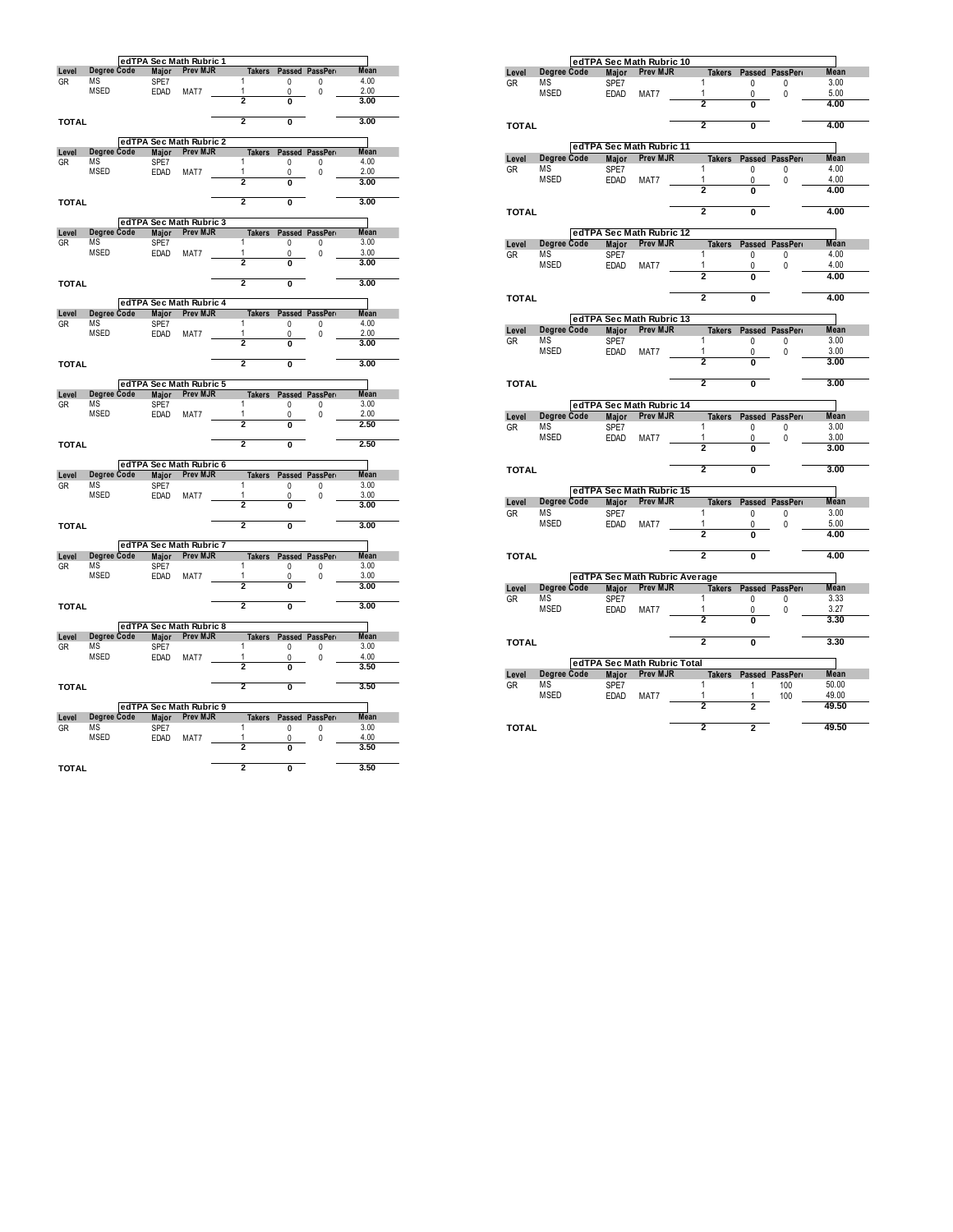|              |                    |               | edTPA Sec Math Rubric 1 |   |                         |                         |                       |              |
|--------------|--------------------|---------------|-------------------------|---|-------------------------|-------------------------|-----------------------|--------------|
| Level        | Degree Code        | Major         | <b>Prev MJR</b>         |   | <b>Takers</b>           |                         | Passed PassPer        | Mean         |
| GR           | MS                 | SPE7          |                         | 1 |                         | <sup>0</sup>            | 0                     | 4.00         |
|              | <b>MSED</b>        | <b>EDAD</b>   | MAT7                    | 1 |                         | 0                       | 0                     | 2.00         |
|              |                    |               |                         |   | 2                       | 0                       |                       | 3.00         |
| <b>TOTAL</b> |                    |               |                         |   | 2                       | $\overline{0}$          |                       | 3.00         |
|              |                    |               | edTPA Sec Math Rubric 2 |   |                         |                         |                       |              |
| Level        | Degree Code        | Major         | Prev MJR                |   | <b>Takers</b>           |                         | Passed PassPer        | Mean         |
| GR           | MS                 | SPE7          |                         | 1 |                         | 0                       | 0                     | 4.00         |
|              | MSED               | <b>EDAD</b>   | MAT7                    | 1 |                         | 0                       | 0                     | 2.00         |
|              |                    |               |                         |   | 2                       | O                       |                       | 3.00         |
| <b>TOTAL</b> |                    |               |                         |   | 2                       | $\overline{\mathbf{0}}$ |                       | 3.00         |
|              |                    |               | edTPA Sec Math Rubric 3 |   |                         |                         |                       |              |
| Level        | Degree Code        | <b>Major</b>  | <b>Prev MJR</b>         |   |                         |                         | Takers Passed PassPer | <b>Mean</b>  |
| GR           | MS                 | SPE7          |                         | 1 |                         | 0                       | 0                     | 3.00         |
|              | <b>MSED</b>        | EDAD          | MAT7                    | 1 | 2                       | 0<br>O                  | 0                     | 3.00<br>3.00 |
|              |                    |               |                         |   | $\overline{2}$          |                         |                       |              |
| <b>TOTAL</b> |                    |               |                         |   |                         | $\overline{0}$          |                       | 3.00         |
|              |                    |               | edTPA Sec Math Rubric 4 |   |                         |                         |                       |              |
| Level        | Degree Code<br>ΜS  | Major<br>SPE7 | <b>Prev MJR</b>         | 1 | <b>Takers</b>           |                         | Passed PassPer        | Mean<br>4.00 |
| GR           | <b>MSED</b>        | EDAD          | MAT7                    | 1 |                         | 0<br>$\mathbf{0}$       | 0<br>0                | 2.00         |
|              |                    |               |                         |   | $\overline{2}$          | $\mathbf{0}$            |                       | 3.00         |
|              |                    |               |                         |   |                         |                         |                       |              |
| <b>TOTAL</b> |                    |               |                         |   | 2                       | 0                       |                       | 3.00         |
|              |                    |               | edTPA Sec Math Rubric 5 |   |                         |                         |                       |              |
| Level        | Degree Code        | <b>Major</b>  | Prev MJR                |   | <b>Takers</b>           |                         | Passed PassPer        | <b>Mean</b>  |
| GR           | MS                 | SPE7          |                         | 1 |                         | 0                       | 0                     | 3.00         |
|              | <b>MSED</b>        | EDAD          | MAT7                    | 1 |                         | 0                       | 0                     | 2.00         |
|              |                    |               |                         |   | $\overline{2}$          | O                       |                       | 2.50         |
| <b>TOTAL</b> |                    |               |                         |   | $\overline{2}$          | $\overline{0}$          |                       | 2.50         |
|              |                    |               | edTPA Sec Math Rubric 6 |   |                         |                         |                       |              |
| Level        | <b>Degree Code</b> | <b>Major</b>  | <b>Prev MJR</b>         |   | <b>Takers</b>           |                         | Passed PassPer        | Mean         |
| GR           | MS                 | SPE7          |                         | 1 |                         | 0                       | 0                     | 3.00         |
|              | <b>MSED</b>        | <b>EDAD</b>   | MAT7                    | 1 | $\overline{\mathbf{2}}$ | 0<br>$\bf{0}$           | 0                     | 3.00<br>3.00 |
|              |                    |               |                         |   |                         |                         |                       |              |
| <b>TOTAL</b> |                    |               |                         |   | 2                       | $\overline{0}$          |                       | 3.00         |
|              |                    |               | edTPA Sec Math Rubric 7 |   |                         |                         |                       |              |
| Level        | Degree Code        | <b>Major</b>  | Prev MJR                |   | <b>Takers</b>           |                         | Passed PassPer        | Mean         |
| GR           | ΜS                 | SPE7          |                         | 1 |                         | 0                       | 0                     | 3.00         |
|              | MSED               | <b>EDAD</b>   | MAT7                    | 1 | 2                       | 0                       | 0                     | 3.00         |
|              |                    |               |                         |   |                         | $\overline{0}$          |                       | 3.00         |
| <b>TOTAL</b> |                    |               |                         |   | $\overline{2}$          | $\overline{0}$          |                       | 3.00         |
|              |                    |               | edTPA Sec Math Rubric 8 |   |                         |                         |                       |              |
| Level        | Degree Code        | Major         | <b>Prev MJR</b>         |   | <b>Takers</b>           |                         | Passed PassPer        | Mean         |
| GR           | MS                 | SPE7          |                         | 1 |                         | 0                       | 0                     | 3.00         |
|              | <b>MSED</b>        | <b>EDAD</b>   | MAT7                    | 1 |                         | 0                       | 0                     | 4.00         |
|              |                    |               |                         |   | 2                       | O                       |                       | 3.50         |
| <b>TOTAL</b> |                    |               |                         |   | $\overline{2}$          | $\overline{0}$          |                       | 3.50         |
|              |                    |               | edTPA Sec Math Rubric 9 |   |                         |                         |                       |              |
| Level        | <b>Degree Code</b> | Major         | Prev MJR                |   | <b>Takers</b>           |                         | Passed PassPer        | Mean         |
| GR           | MS                 | SPE7          |                         | 1 |                         | 0                       | 0                     | 3.00         |
|              | <b>MSED</b>        | <b>EDAD</b>   | MAT7                    | 1 |                         | 0                       | 0                     | 4.00         |
|              |                    |               |                         |   | 2                       | 0                       |                       | 3.50         |
| <b>TOTAL</b> |                    |               |                         |   | $\overline{2}$          | $\overline{0}$          |                       | 3.50         |

|                             |                    |                      | edTPA Sec Math Rubric 10                       |               |                         |                |             |
|-----------------------------|--------------------|----------------------|------------------------------------------------|---------------|-------------------------|----------------|-------------|
| Level                       | Degree Code        | Major                | <b>Prev MJR</b>                                | <b>Takers</b> |                         | Passed PassPer | Mean        |
| <b>GR</b>                   | ΜS                 | SPE7                 |                                                | 1             | 0                       | 0              | 3.00        |
|                             | <b>MSED</b>        | <b>EDAD</b>          | MAT7                                           | 1             | 0                       | 0              | 5.00        |
|                             |                    |                      |                                                | 2             | $\overline{\mathbf{o}}$ |                | 4.00        |
| <b>TOTAL</b>                |                    |                      |                                                | 2             | Ō                       |                | 4.00        |
|                             |                    |                      | edTPA Sec Math Rubric 11                       |               |                         |                |             |
| Level                       | <b>Dearee Code</b> | <b>Major</b>         | <b>Prev MJR</b>                                | <b>Takers</b> |                         | Passed PassPer | <b>Mean</b> |
| GR                          | <b>MS</b>          | SPE7                 |                                                | 1             | 0                       | 0              | 4.00        |
|                             | MSED               | <b>EDAD</b>          | MAT7                                           | 1             | 0                       | 0              | 4.00        |
|                             |                    |                      |                                                | 2             | Ō                       |                | 4.00        |
| <b>TOTAL</b>                |                    |                      |                                                | 2             | Ō                       |                | 4.00        |
|                             |                    |                      | edTPA Sec Math Rubric 12                       |               |                         |                |             |
| Level                       | Degree Code        | Major                | <b>Prev MJR</b>                                | <b>Takers</b> |                         | Passed PassPer | <b>Mean</b> |
| GR                          | MS                 | SPE7                 |                                                | 1             | 0                       | 0              | 4.00        |
|                             | MSED               | <b>EDAD</b>          | MAT7                                           | 1             | 0                       | 0              | 4.00        |
|                             |                    |                      |                                                | 2             |                         |                | 4.00        |
| <b>TOTAL</b>                |                    |                      |                                                | 2             | Ō                       |                | 4.00        |
|                             |                    |                      | edTPA Sec Math Rubric 13                       |               |                         |                |             |
| Level                       | Degree Code        | <b>Major</b>         | <b>Prev MJR</b>                                | <b>Takers</b> |                         | Passed PassPer | <b>Mean</b> |
| <b>GR</b>                   | MS                 | SPE7                 |                                                | 1             | 0                       | 0              | 3.00        |
|                             | <b>MSED</b>        | <b>EDAD</b>          | MAT7                                           | 1             | 0                       | 0              | 3.00        |
|                             |                    |                      |                                                | 2             | O                       |                | 3.00        |
| <b>TOTAL</b>                |                    |                      |                                                | 2             | O                       |                | 3.00        |
|                             |                    |                      | edTPA Sec Math Rubric 14                       |               |                         |                |             |
| Level                       | Degree Code        | Major                | <b>Prev MJR</b>                                | <b>Takers</b> |                         | Passed PassPer | <b>Mean</b> |
| GR                          | ΜS                 | SPE7                 |                                                | 1             | 0                       | 0              | 3.00        |
|                             | <b>MSED</b>        | <b>EDAD</b>          | MAT7                                           | 1             | 0                       | 0              | 3.00        |
|                             |                    |                      |                                                | 2             | O                       |                | 3.00        |
| <b>TOTAL</b>                |                    |                      |                                                | 2             | 0                       |                | 3.00        |
|                             |                    |                      | edTPA Sec Math Rubric 15                       |               |                         |                |             |
| Level                       | Degree Code        | Major                | <b>Prev MJR</b>                                | <b>Takers</b> |                         | Passed PassPer | Mean        |
| GR                          | ΜS                 | SPE7                 |                                                | 1             | 0                       | 0              | 3.00        |
|                             | MSED               | <b>EDAD</b>          | MAT7                                           | 1             | 0                       | 0              | 5.00        |
|                             |                    |                      |                                                | 2             | 0                       |                | 4.00        |
| <b>TOTAL</b>                |                    |                      |                                                | 2             | Ō                       |                | 4.00        |
|                             |                    |                      | edTPA Sec Math Rubric Average                  |               |                         |                |             |
| Level                       | Degree Code        | Major                | <b>Prev MJR</b>                                | <b>Takers</b> |                         | Passed PassPer | <b>Mean</b> |
| GR                          | ΜS                 | SPE7                 |                                                | 1             | 0                       | 0              | 3.33        |
|                             | <b>MSED</b>        | EDAD                 | MAT7                                           | 1             | 0                       | 0              | 3.27        |
|                             |                    |                      |                                                | 2             | Ō                       |                | 3.30        |
|                             |                    |                      |                                                | 2             | 0                       |                | 3.30        |
|                             |                    |                      |                                                |               |                         |                |             |
|                             |                    |                      |                                                |               |                         |                |             |
|                             |                    |                      | edTPA Sec Math Rubric Total<br><b>Prev MJR</b> | <b>Takers</b> |                         | Passed PassPer | Mean        |
| <b>TOTAL</b><br>Level<br>GR | Degree Code<br>ΜS  | <b>Major</b><br>SPE7 |                                                | 1             | 1                       | 100            | 50.00       |
|                             | <b>MSED</b>        | <b>EDAD</b>          | MAT7                                           | 1             | 1                       | 100            | 49.00       |
|                             |                    |                      |                                                | 2             | 2                       |                | 49.50       |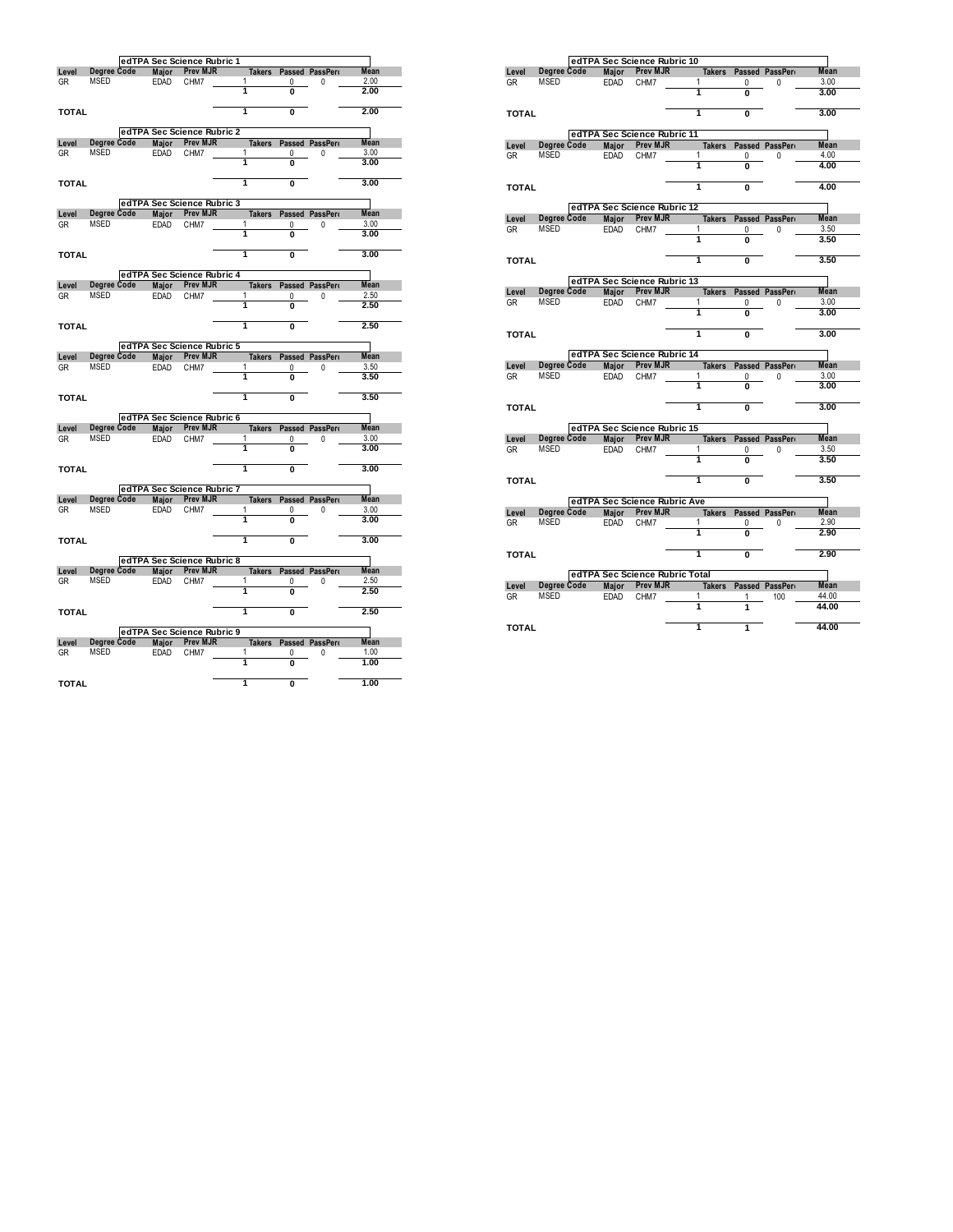|              |             |              | edTPA Sec Science Rubric 1 |        |               |                |                        |             |
|--------------|-------------|--------------|----------------------------|--------|---------------|----------------|------------------------|-------------|
| Level        | Degree Code | Major        | Prev MJR                   |        | <b>Takers</b> |                | Passed PassPero        | <b>Mean</b> |
| GR           | MSED        | EDAD         | CHM7                       | 1      |               | 0              | 0                      | 2.00        |
|              |             |              |                            | 1      |               | Ō              |                        | 2.00        |
| <b>TOTAL</b> |             |              |                            | 1      |               | Ō              |                        | 2.00        |
|              |             |              | edTPA Sec Science Rubric 2 |        |               |                |                        |             |
| Level        | Degree Code |              | Major Prev MJR             |        | <b>Takers</b> |                | Passed PassPero        | <b>Mean</b> |
| <b>GR</b>    | MSED        | EDAD         | CHM7                       | 1      |               | 0              | 0                      | 3.00        |
|              |             |              |                            | 1      |               | Ō              |                        | 3.00        |
| <b>TOTAL</b> |             |              |                            | ī      |               | $\overline{0}$ |                        | 3.00        |
|              |             |              | edTPA Sec Science Rubric 3 |        |               |                |                        |             |
| Level        | Degree Code | <b>Major</b> | <b>Prev MJR</b>            |        | <b>Takers</b> |                | Passed PassPerr        | Mean        |
| GR           | MSED        | <b>EDAD</b>  | CHM7                       | 1<br>ī |               | 0              | 0                      | 3.00        |
|              |             |              |                            |        |               | Ō              |                        | 3.00        |
| <b>TOTAL</b> |             |              |                            | 1      |               | Ō              |                        | 3.00        |
|              |             |              | edTPA Sec Science Rubric 4 |        |               |                |                        |             |
| Level        | Degree Code | Major        | Prev MJR                   |        | <b>Takers</b> |                | Passed PassPerr        | <b>Mean</b> |
| <b>GR</b>    | <b>MSED</b> | EDAD         | CHM7                       | 1      |               | $\mathbf{0}$   | 0                      | 2.50        |
|              |             |              |                            | 1      |               | 0              |                        | 2.50        |
| <b>TOTAL</b> |             |              |                            | 1      |               | Ō              |                        | 2.50        |
|              |             |              | edTPA Sec Science Rubric 5 |        |               |                |                        |             |
| Level        | Degree Code | Major        | Prev MJR                   |        |               |                | Takers Passed PassPero | Mean        |
| <b>GR</b>    | <b>MSED</b> | EDAD         | CHM7                       | 1      |               | 0              | 0                      | 3.50        |
|              |             |              |                            | 1      |               | Ō              |                        | 3.50        |
| <b>TOTAL</b> |             |              |                            | T      |               | Ō              |                        | 3.50        |
|              |             |              | edTPA Sec Science Rubric 6 |        |               |                |                        |             |
| Level        | Degree Code | Major        | <b>Prev MJR</b>            |        | <b>Takers</b> |                | Passed PassPerr        | <b>Mean</b> |
| <b>GR</b>    | MSED        | <b>EDAD</b>  | CHM7                       | 1      |               | 0              | 0                      | 3.00        |
|              |             |              |                            | 1      |               | O              |                        | 3.00        |
| <b>TOTAL</b> |             |              |                            | T      |               | Ō              |                        | 3.00        |
|              |             |              | edTPA Sec Science Rubric 7 |        |               |                |                        |             |
| Level        | Dearee Code |              | Major Prev MJR             |        | <b>Takers</b> |                | Passed PassPerr        | <b>Mean</b> |
| GR           | <b>MSED</b> | <b>EDAD</b>  | CHM7                       | 1      |               | 0              | 0                      | 3.00        |
|              |             |              |                            | 1      |               | 0              |                        | 3.00        |
| <b>TOTAL</b> |             |              |                            | 1      |               | Ō              |                        | 3.00        |
|              |             |              | edTPA Sec Science Rubric 8 |        |               |                |                        |             |
| Level        | Degree Code | Major        | <b>Prev MJR</b>            |        | <b>Takers</b> |                | Passed PassPerr        | <b>Mean</b> |
| GR           | <b>MSED</b> | EDAD         | CHM7                       | 1      |               | 0              | 0                      | 2.50        |
|              |             |              |                            | 1      |               | 0              |                        | 2.50        |
| <b>TOTAL</b> |             |              |                            | ī      |               | Ō              |                        | 2.50        |
|              |             |              | edTPA Sec Science Rubric 9 |        |               |                |                        |             |
| Level        | Degree Code | <b>Major</b> | <b>Prev MJR</b>            |        | <b>Takers</b> |                | Passed PassPero        | Mean        |
| <b>GR</b>    | MSED        | <b>EDAD</b>  | CHM7                       | 1      |               | 0              | 0                      | 1.00        |
|              |             |              |                            | 1      |               | 0              |                        | 1.00        |
| <b>TOTAL</b> |             |              |                            | 1      |               | Ō              |                        | 1.00        |

|              |                     |                      | edTPA Sec Science Rubric 10                     |                                                 |                |                      |             |
|--------------|---------------------|----------------------|-------------------------------------------------|-------------------------------------------------|----------------|----------------------|-------------|
| Level        | Degree Code         | Major                | <b>Prev MJR</b>                                 | <b>Takers</b>                                   |                | Passed PassPerr      | <b>Mean</b> |
| GR           | MSED                | <b>EDAD</b>          | CHM7                                            | 1                                               | 0              | 0                    | 3.00        |
|              |                     |                      |                                                 | 1                                               | Ō              |                      | 3.00        |
| <b>TOTAL</b> |                     |                      |                                                 | 1                                               | Ō              |                      | 3.00        |
|              |                     |                      | edTPA Sec Science Rubric 11                     |                                                 |                |                      |             |
| Level        | Degree Code         |                      | Major Prev MJR                                  | <b>Takers</b>                                   |                | Passed PassPert      | <b>Mean</b> |
| GR           | <b>MSED</b>         | <b>EDAD</b>          | CHM7                                            | 1                                               | 0              | 0                    | 4.00        |
|              |                     |                      |                                                 | 1                                               | Ō              |                      | 4.00        |
| <b>TOTAL</b> |                     |                      |                                                 | 1                                               | Ō              |                      | 4.00        |
|              |                     |                      | edTPA Sec Science Rubric 12                     |                                                 |                |                      |             |
| Level        | Degree Code         | Maior                | <b>Prev MJR</b>                                 | <b>Takers</b>                                   |                | Passed PassPerr      | <b>Mean</b> |
| GR           | MSED                | <b>EDAD</b>          | CHM7                                            | 1                                               | 0              | 0                    | 3.50        |
|              |                     |                      |                                                 | 1                                               | O              |                      | 3.50        |
| <b>TOTAL</b> |                     |                      |                                                 | 1                                               | O              |                      | 3.50        |
|              |                     |                      | edTPA Sec Science Rubric 13                     |                                                 |                |                      |             |
| Level        | Degree Code         | Major                | <b>Prev MJR</b>                                 | <b>Takers</b>                                   |                | Passed PassPerr      | <b>Mean</b> |
| <b>GR</b>    | MSED                | <b>EDAD</b>          | CHM7                                            | 1                                               | 0              | 0                    | 3.00        |
|              |                     |                      |                                                 | 1                                               | $\overline{0}$ |                      | 3.00        |
| <b>TOTAL</b> |                     |                      |                                                 | 1                                               | $\overline{0}$ |                      | 3.00        |
|              |                     |                      | edTPA Sec Science Rubric 14                     |                                                 |                |                      |             |
|              |                     |                      |                                                 |                                                 |                |                      |             |
| Level        | Degree Code         | Major                | <b>Prev MJR</b>                                 | <b>Takers</b>                                   |                | Passed PassPerr      | <b>Mean</b> |
| GR           | MSED                | <b>EDAD</b>          | CHM7                                            | 1                                               | 0              | 0                    | 3.00        |
|              |                     |                      |                                                 | 1                                               | O              |                      | 3.00        |
| <b>TOTAL</b> |                     |                      |                                                 | 1                                               | Ō              |                      | 3.00        |
|              |                     |                      |                                                 |                                                 |                |                      |             |
| Level        | Degree Code         | <b>Maior</b>         | edTPA Sec Science Rubric 15<br><b>Prev MJR</b>  | <b>Takers</b>                                   |                | Passed PassPerr      | <b>Mean</b> |
| GR           | <b>MSED</b>         | <b>EDAD</b>          | CHM7                                            | 1                                               | 0              | 0                    | 3.50        |
|              |                     |                      |                                                 | 1                                               | 0              |                      | 3.50        |
| <b>TOTAL</b> |                     |                      |                                                 | 1                                               | 0              |                      | 3.50        |
|              |                     |                      |                                                 |                                                 |                |                      |             |
|              | Degree Code         |                      | edTPA Sec Science Rubric Ave<br><b>Prev MJR</b> |                                                 |                |                      | <b>Mean</b> |
| Level<br>GR  | <b>MSED</b>         | Major<br><b>EDAD</b> | CHM7                                            | <b>Takers</b><br>1                              | 0              | Passed PassPerr<br>0 | 2.90        |
|              |                     |                      |                                                 | 1                                               | 0              |                      | 2.90        |
| <b>TOTAL</b> |                     |                      |                                                 | 1                                               | Ō              |                      | 2.90        |
|              |                     |                      |                                                 |                                                 |                |                      |             |
| Level        |                     | <b>Maior</b>         | <b>Prev MJR</b>                                 | edTPA Sec Science Rubric Total<br><b>Takers</b> |                | Passed PassPerr      | <b>Mean</b> |
| GR           | Degree Code<br>MSED | <b>EDAD</b>          | CHM7                                            | 1                                               | 1              | 100                  | 44.00       |
|              |                     |                      |                                                 | 1                                               | 1              |                      | 44.00       |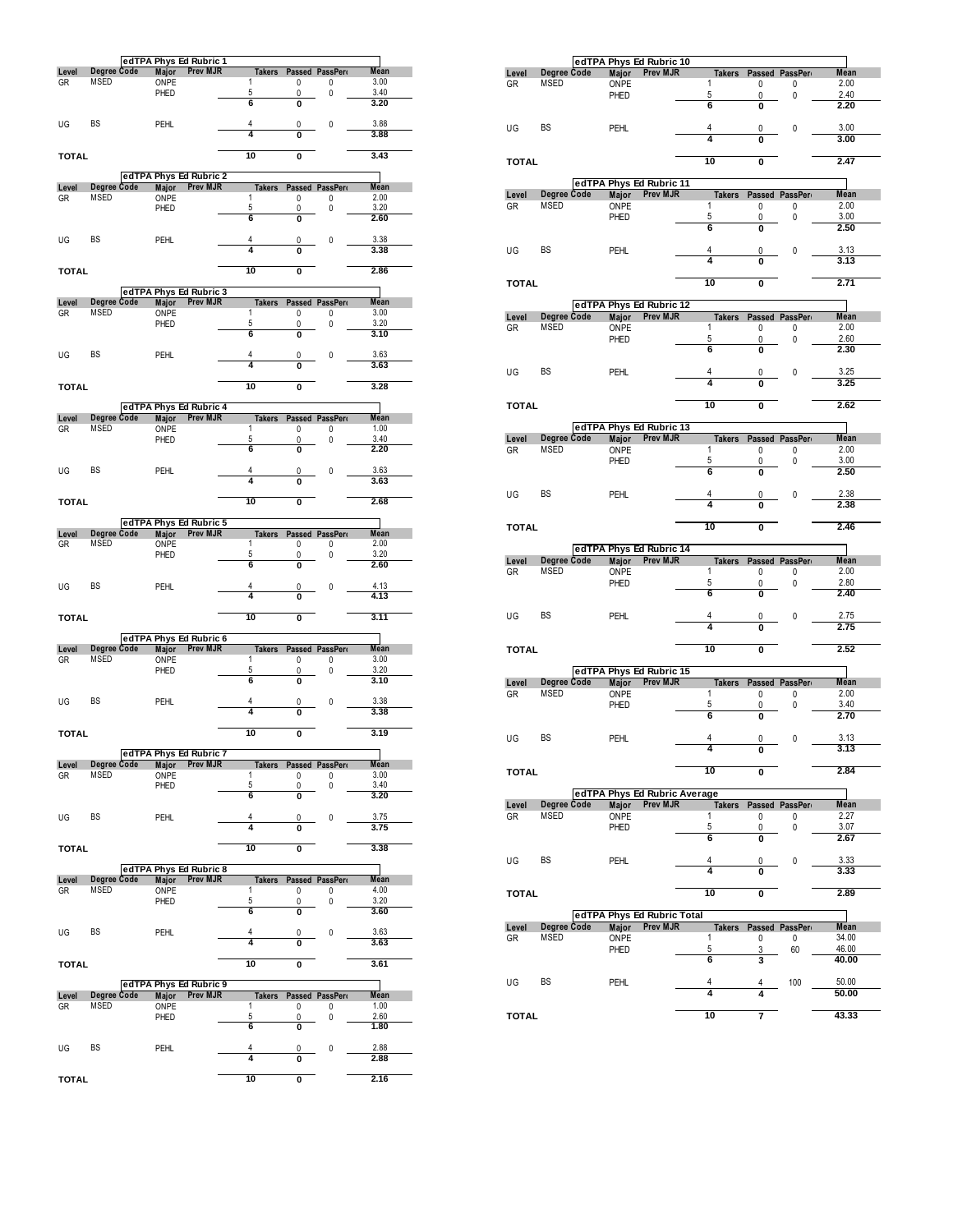|              |                                   |              | edTPA Phys Ed Rubric 1                    |                    |        |                     |              |
|--------------|-----------------------------------|--------------|-------------------------------------------|--------------------|--------|---------------------|--------------|
| Level        | <b>Degree Code</b>                | <b>Major</b> | <b>Prev MJR</b>                           | <b>Takers</b>      |        | Passed PassPerr     | <b>Mean</b>  |
| GR           | <b>MSED</b>                       | ONPE<br>PHED |                                           | 1<br>5             | 0<br>0 | 0<br>0              | 3.00<br>3.40 |
|              |                                   |              |                                           | 6                  | Ō      |                     | 3.20         |
|              |                                   |              |                                           |                    |        |                     |              |
| UG           | BS                                | <b>PEHL</b>  |                                           | 4<br>4             | 0<br>Ō | 0                   | 3.88<br>3.88 |
|              |                                   |              |                                           |                    |        |                     |              |
| <b>TOTAL</b> |                                   |              |                                           | 10                 | Ō      |                     | 3.43         |
|              |                                   |              |                                           |                    |        |                     |              |
| Level        | Degree Code                       | <b>Major</b> | edTPA Phys Ed Rubric 2<br><b>Prev MJR</b> | <b>Takers</b>      |        | Passed PassPer      | <b>Mean</b>  |
| GR           | <b>MSED</b>                       | ONPE         |                                           | 1                  | 0      | 0                   | 2.00         |
|              |                                   | PHED         |                                           | 5                  | 0      | 0                   | 3.20         |
|              |                                   |              |                                           | 6                  | Ō      |                     | 2.60         |
| UG           | BS                                | <b>PEHL</b>  |                                           | 4                  | 0      | 0                   | 3.38         |
|              |                                   |              |                                           | 4                  | 0      |                     | 3.38         |
|              |                                   |              |                                           |                    |        |                     |              |
| <b>TOTAL</b> |                                   |              |                                           | 10                 | Ō      |                     | 2.86         |
|              |                                   |              | edTPA Phys Ed Rubric 3                    |                    |        |                     |              |
| Level        | Degree Code                       | Major        | <b>Prev MJR</b>                           | <b>Takers</b>      |        | Passed PassPerr     | <b>Mean</b>  |
| GR           | MSED                              | ONPE         |                                           | 1                  | 0      | 0                   | 3.00         |
|              |                                   | PHED         |                                           | 5<br>6             | 0      | 0                   | 3.20<br>3.10 |
|              |                                   |              |                                           |                    | 0      |                     |              |
| UG           | <b>BS</b>                         | <b>PEHL</b>  |                                           | 4                  | 0      | 0                   | 3.63         |
|              |                                   |              |                                           | 4                  | O      |                     | 3.63         |
|              |                                   |              |                                           | 10                 |        |                     | 3.28         |
| TOTAL        |                                   |              |                                           |                    | O      |                     |              |
|              |                                   |              | edTPA Phys Ed Rubric 4                    |                    |        |                     |              |
| Level        | <b>Degree Code</b>                | <b>Major</b> | <b>Prev MJR</b>                           | <b>Takers</b>      |        | Passed PassPer      | <b>Mean</b>  |
| GR           | <b>MSED</b>                       | ONPE         |                                           | 1                  | 0      | 0                   | 1.00<br>3.40 |
|              |                                   | PHED         |                                           | 5<br>6             | 0<br>Ō | 0                   | 2.20         |
|              |                                   |              |                                           |                    |        |                     |              |
| UG           | BS                                | <b>PEHL</b>  |                                           | 4                  | 0      | 0                   | 3.63         |
|              |                                   |              |                                           | 4                  | Ō      |                     | 3.63         |
| <b>TOTAL</b> |                                   |              |                                           | 10                 | Ō      |                     | 2.68         |
|              |                                   |              |                                           |                    |        |                     |              |
|              |                                   |              | edTPA Phys Ed Rubric 5                    |                    |        |                     |              |
| Level        | Degree Code                       | <b>Major</b> | Prev MJR                                  | <b>Takers</b><br>1 |        | Passed PassPer      | <b>Mean</b>  |
| GR           | <b>MSED</b>                       | ONPE<br>PHED |                                           | 5                  | 0<br>0 | 0<br>0              | 2.00<br>3.20 |
|              |                                   |              |                                           |                    |        |                     |              |
|              |                                   |              |                                           | 6                  | Ō      |                     | 2.60         |
|              |                                   |              |                                           |                    |        |                     |              |
| UG           | <b>BS</b>                         | PEHL         |                                           | 4                  | 0      | 0                   | 4.13         |
|              |                                   |              |                                           | 4                  | Ō      |                     | 4.13         |
| TOTAL        |                                   |              |                                           | 10                 | 0      |                     | 3.11         |
|              |                                   |              |                                           |                    |        |                     |              |
|              |                                   |              | edTPA Phys Ed Rubric 6                    |                    |        |                     |              |
| Level        | <b>Degree Code</b>                | <b>Major</b> | <b>Prev MJR</b>                           | <b>Takers</b>      |        | Passed PassPerr     | Mean         |
| GR           | <b>MSED</b>                       | ONPE<br>PHED |                                           | 1<br>5             | 0<br>0 | 0<br>0              | 3.00<br>3.20 |
|              |                                   |              |                                           | 6                  | 0      |                     | 3.10         |
|              |                                   |              |                                           |                    |        |                     |              |
| UG           | BS                                | <b>PEHL</b>  |                                           | 4<br>4             | 0      | 0                   | 3.38         |
|              |                                   |              |                                           |                    | 0      |                     | 3.38         |
| <b>TOTAL</b> |                                   |              |                                           | 10                 | Ō      |                     | 3.19         |
|              |                                   |              |                                           |                    |        |                     |              |
|              |                                   |              | edTPA Phys Ed Rubric 7                    |                    |        |                     |              |
| Level<br>GR  | <b>Degree Code</b><br><b>MSED</b> | ONPE         | Major Prev MJR                            | <b>Takers</b><br>1 | 0      | Passed PassPer<br>0 | Mean<br>3.00 |
|              |                                   | PHED         |                                           | 5                  | 0      | 0                   | 3.40         |
|              |                                   |              |                                           | 6                  | Ō      |                     | 3.20         |
|              |                                   |              |                                           | 4                  |        |                     |              |
| UG           | BS                                | <b>PEHL</b>  |                                           | 4                  | 0<br>0 | 0                   | 3.75<br>3.75 |
|              |                                   |              |                                           |                    |        |                     |              |
| <b>TOTAL</b> |                                   |              |                                           | 10                 | 0      |                     | 3.38         |
|              |                                   |              |                                           |                    |        |                     |              |
| Level        | Degree Code                       | Major        | edTPA Phys Ed Rubric 8<br>Prev MJR        | <b>Takers</b>      |        | Passed PassPer      | Mean         |
| GR           | MSED                              | ONPE         |                                           | 1                  | 0      | 0                   | 4.00         |
|              |                                   | PHED         |                                           | 5                  | 0      | 0                   | 3.20         |
|              |                                   |              |                                           | 6                  | 0      |                     | 3.60         |
| UG           | BS                                | PEHL         |                                           | 4                  | 0      | 0                   | 3.63         |
|              |                                   |              |                                           | 4                  | 0      |                     | 3.63         |
|              |                                   |              |                                           |                    |        |                     |              |
| <b>TOTAL</b> |                                   |              |                                           | 10                 | 0      |                     | 3.61         |
|              |                                   |              | edTPA Phys Ed Rubric 9                    |                    |        |                     |              |
| Level        | <b>Degree Code</b>                | Major        | <b>Prev MJR</b>                           | <b>Takers</b>      |        | Passed PassPer      | Mean         |
| GR           | MSED                              | ONPE         |                                           | 1                  | 0      | 0                   | 1.00         |
|              |                                   | PHED         |                                           | 5                  | 0      | 0                   | 2.60         |
|              |                                   |              |                                           | 6                  | 0      |                     | 1.80         |
| UG           | BS                                | PEHL         |                                           | 4                  | 0      | 0                   | 2.88         |
|              |                                   |              |                                           | 4                  | 0      |                     | 2.88         |

|              |                     | edTPA Phys Ed Rubric 10      |                 |                    |                         |                     |                     |
|--------------|---------------------|------------------------------|-----------------|--------------------|-------------------------|---------------------|---------------------|
| Level        | Degree Code         | Major                        | <b>Prev MJR</b> | Takers             |                         | Passed PassPer      | Mean                |
| GR           | MSED                | ONPE<br>PHED                 |                 | 1<br>5             | 0<br>0                  | 0<br>0              | 2.00<br>2.40        |
|              |                     |                              |                 | 6                  | 0                       |                     | 2.20                |
|              |                     |                              |                 |                    |                         |                     |                     |
| UG           | BS                  | PEHL                         |                 | 4                  | 0                       | 0                   | 3.00                |
|              |                     |                              |                 | 4                  |                         |                     | 3.00                |
| <b>TOTAL</b> |                     |                              |                 | 10                 | Ō                       |                     | 2.47                |
|              |                     |                              |                 |                    |                         |                     |                     |
|              |                     | edTPA Phys Ed Rubric 11      |                 |                    |                         |                     |                     |
| Level        | Degree Code         | Major                        | <b>Prev MJR</b> | <b>Takers</b>      |                         | Passed PassPer      | Mean                |
| GR           | MSED                | ONPE<br>PHED                 |                 | 1<br>5             | 0<br>0                  | 0<br>0              | 2.00<br>3.00        |
|              |                     |                              |                 | 6                  | O                       |                     | 2.50                |
|              |                     |                              |                 |                    |                         |                     |                     |
| UG           | BS                  | PEHL                         |                 | 4<br>4             | 0                       | 0                   | 3.13                |
|              |                     |                              |                 |                    | O                       |                     | 3.13                |
| <b>TOTAL</b> |                     |                              |                 | 10                 | Ō                       |                     | 2.71                |
|              |                     |                              |                 |                    |                         |                     |                     |
|              |                     | edTPA Phys Ed Rubric 12      |                 |                    |                         |                     |                     |
| Level<br>GR  | Degree Code<br>MSED | <b>Major</b><br>ONPE         | <b>Prev MJR</b> | <b>Takers</b><br>1 | 0                       | Passed PassPer<br>0 | Mean<br>2.00        |
|              |                     | PHED                         |                 | 5                  | 0                       | 0                   | 2.60                |
|              |                     |                              |                 | 6                  | 0                       |                     | 2.30                |
|              |                     |                              |                 |                    |                         |                     |                     |
| UG           | BS                  | PEHL                         |                 | 4<br>4             | 0<br>O                  | 0                   | 3.25<br>3.25        |
|              |                     |                              |                 |                    |                         |                     |                     |
| <b>TOTAL</b> |                     |                              |                 | 10                 | $\mathbf 0$             |                     | 2.62                |
|              |                     |                              |                 |                    |                         |                     |                     |
|              | Degree Code         | edTPA Phys Ed Rubric 13      |                 |                    |                         |                     |                     |
| Level<br>GR  | MSED                | Major<br>ONPE                | Prev MJR        | <b>Takers</b><br>1 | 0                       | Passed PassPer<br>0 | Mean<br>2.00        |
|              |                     | PHED                         |                 | 5                  | 0                       | 0                   | 3.00                |
|              |                     |                              |                 | 6                  | Ō                       |                     | 2.50                |
|              |                     |                              |                 |                    |                         |                     |                     |
| UG           | BS                  | PEHL                         |                 | 4<br>4             | 0<br>O                  | 0                   | 2.38<br>2.38        |
|              |                     |                              |                 |                    |                         |                     |                     |
| <b>TOTAL</b> |                     |                              |                 | 10                 | $\overline{\mathbf{0}}$ |                     | 2.46                |
|              |                     |                              |                 |                    |                         |                     |                     |
|              |                     |                              |                 |                    |                         |                     |                     |
|              |                     | edTPA Phys Ed Rubric 14      |                 |                    |                         |                     |                     |
| Level        | Degree Code<br>MSED | Major                        | <b>Prev MJR</b> | 1                  | Takers Passed PassPer   |                     | <b>Mean</b><br>2.00 |
| GR           |                     | ONPE<br>PHED                 |                 | 5                  | 0<br>0                  | 0<br>0              | 2.80                |
|              |                     |                              |                 | 6                  | $\overline{0}$          |                     | 2.40                |
|              |                     |                              |                 |                    |                         |                     |                     |
| UG           | BS                  | PEHL                         |                 | 4<br>4             | $\overline{0}$          | 0                   | 2.75<br>2.75        |
|              |                     |                              |                 |                    |                         |                     |                     |
| <b>TOTAL</b> |                     |                              |                 | 10                 | O                       |                     | 2.52                |
|              |                     |                              |                 |                    |                         |                     |                     |
|              |                     | edTPA Phys Ed Rubric 15      |                 |                    |                         |                     |                     |
| Level<br>GR  | Degree Code<br>MSED | ONPE                         | Major Prev MJR  | <b>Takers</b><br>1 | 0                       | Passed PassPer<br>0 | Mean<br>2.00        |
|              |                     | PHED                         |                 | 5                  | 0                       | 0                   | 3.40                |
|              |                     |                              |                 | 6                  | 0                       |                     | 2.70                |
|              |                     |                              |                 | 4                  |                         |                     |                     |
| UG           | BS                  | <b>PEHL</b>                  |                 |                    | 0                       | 0                   | 3.13<br>3.13        |
|              |                     |                              |                 |                    |                         |                     |                     |
| <b>TOTAL</b> |                     |                              |                 | 10                 | 0                       |                     | 2.84                |
|              |                     |                              |                 |                    |                         |                     |                     |
| Level        | Degree Code         | edTPA Phys Ed Rubric Average | Major Prev MJR  | <b>Takers</b>      |                         | Passed PassPer      | Mean                |
| GR           | MSED                | ONPE                         |                 | 1                  | 0                       | 0                   | 2.27                |
|              |                     | PHED                         |                 | 5                  | 0                       | 0                   | 3.07                |
|              |                     |                              |                 | 6                  | 0                       |                     | 2.67                |
| UG           | BS                  | PEHL                         |                 | 4                  | 0                       | 0                   | 3.33                |
|              |                     |                              |                 | Δ                  |                         |                     | 3.33                |
|              |                     |                              |                 |                    |                         |                     |                     |
| <b>TOTAL</b> |                     |                              |                 | 10                 | 0                       |                     | 2.89                |
|              |                     | edTPA Phys Ed Rubric Total   |                 |                    |                         |                     |                     |
| Level        | Degree Code         |                              | Major Prev MJR  | <b>Takers</b>      |                         | Passed PassPer      | <b>Mean</b>         |
| GR           | MSED                | ONPE                         |                 | 1                  | 0                       | 0                   | 34.00               |
|              |                     | PHED                         |                 | 5                  | 3                       | 60                  | 46.00               |
|              |                     |                              |                 | 6                  | 3                       |                     | 40.00               |
| UG           | BS                  | PEHL                         |                 | 4                  | 4                       | 100                 | 50.00               |
|              |                     |                              |                 | 4                  | 4                       |                     | 50.00               |
| <b>TOTAL</b> |                     |                              |                 | 10                 | 7                       |                     | 43.33               |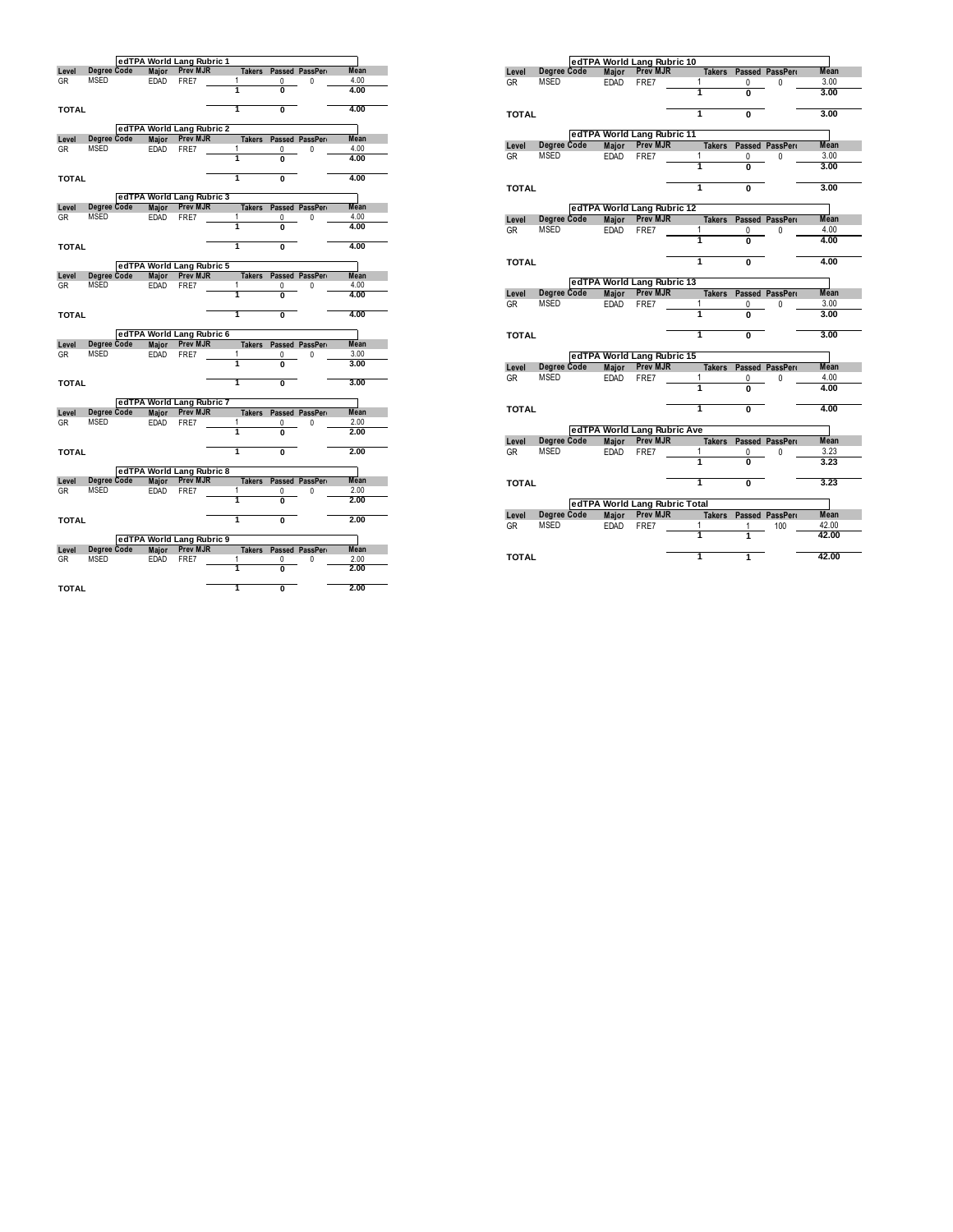|              |                     |                      | edTPA World Lang Rubric 1                    |                    |                         |                      |              |
|--------------|---------------------|----------------------|----------------------------------------------|--------------------|-------------------------|----------------------|--------------|
| Level        | Degree Code         | Major                | Prev MJR                                     | <b>Takers</b>      |                         | Passed PassPerr      | Mean         |
| <b>GR</b>    | MSED                | EDAD                 | FRE7                                         | 1<br>1             | 0                       | 0                    | 4.00         |
|              |                     |                      |                                              |                    | 0                       |                      | 4.00         |
| <b>TOTAL</b> |                     |                      |                                              | 1                  | Ō                       |                      | 4.00         |
|              |                     |                      |                                              |                    |                         |                      |              |
|              |                     |                      | edTPA World Lang Rubric 2                    |                    |                         |                      |              |
| Level        | Degree Code         | <b>Maior</b>         | <b>Prev MJR</b>                              | <b>Takers</b>      |                         | Passed PassPerr      | Mean         |
| GR           | MSED                | EDAD                 | FRE7                                         | 1<br>ī             | 0<br>$\overline{0}$     | 0                    | 4.00<br>4.00 |
|              |                     |                      |                                              |                    |                         |                      |              |
| <b>TOTAL</b> |                     |                      |                                              | ī                  | Ō                       |                      | 4.00         |
|              |                     |                      |                                              |                    |                         |                      |              |
|              | Degree Code         |                      | edTPA World Lang Rubric 3<br><b>Prev MJR</b> |                    |                         |                      | Mean         |
| Level<br>GR  | <b>MSED</b>         | <b>Major</b><br>EDAD | FRE7                                         | <b>Takers</b><br>1 | 0                       | Passed PassPerr<br>0 | 4.00         |
|              |                     |                      |                                              | 1                  | Ō                       |                      | 4.00         |
|              |                     |                      |                                              |                    |                         |                      |              |
| <b>TOTAL</b> |                     |                      |                                              | ī                  | Ō                       |                      | 4.00         |
|              |                     |                      |                                              |                    |                         |                      |              |
| Level        | Degree Code         | <b>Maior</b>         | edTPA World Lang Rubric 5<br><b>Prev MJR</b> | <b>Takers</b>      |                         | Passed PassPero      | Mean         |
| <b>GR</b>    | MSED                | EDAD                 | FRE7                                         | 1                  | 0                       | 0                    | 4.00         |
|              |                     |                      |                                              | 1                  | $\overline{0}$          |                      | 4.00         |
|              |                     |                      |                                              |                    |                         |                      |              |
| <b>TOTAL</b> |                     |                      |                                              | ī                  | $\mathbf 0$             |                      | 4.00         |
|              |                     |                      |                                              |                    |                         |                      |              |
|              |                     |                      |                                              |                    |                         |                      |              |
| Level        |                     |                      | edTPA World Lang Rubric 6<br><b>Prev MJR</b> | <b>Takers</b>      |                         | Passed PassPerr      | Mean         |
| <b>GR</b>    | Degree Code<br>MSED | <b>Major</b><br>EDAD | FRE7                                         | 1                  | 0                       | 0                    | 3.00         |
|              |                     |                      |                                              | 1                  | ŋ                       |                      | 3.00         |
|              |                     |                      |                                              |                    |                         |                      |              |
| <b>TOTAL</b> |                     |                      |                                              | ī                  | $\overline{0}$          |                      | 3.00         |
|              |                     |                      | edTPA World Lang Rubric 7                    |                    |                         |                      |              |
| Level        | Degree Code         | Major                | <b>Prev MJR</b>                              | <b>Takers</b>      |                         | Passed PassPere      | Mean         |
| <b>GR</b>    | MSED                | EDAD                 | FRE7                                         | 1                  | 0                       | 0                    | 2.00         |
|              |                     |                      |                                              | 1                  | 0                       |                      | 2.00         |
|              |                     |                      |                                              |                    |                         |                      |              |
| <b>TOTAL</b> |                     |                      |                                              | ī                  | Ō                       |                      | 2.00         |
|              |                     |                      | edTPA World Lang Rubric 8                    |                    |                         |                      |              |
| Level        | Degree Code         | Major                | <b>Prev MJR</b>                              | <b>Takers</b>      |                         | Passed PassPert      | <b>Mean</b>  |
| <b>GR</b>    | <b>MSED</b>         | EDAD                 | FRE7                                         | 1                  | 0                       | 0                    | 2.00         |
|              |                     |                      |                                              | 1                  | Ō                       |                      | 200          |
|              |                     |                      |                                              |                    |                         |                      |              |
| <b>TOTAL</b> |                     |                      |                                              | ī                  | Ō                       |                      | 2.00         |
|              |                     |                      | edTPA World Lang Rubric 9                    |                    |                         |                      |              |
| Level        | Degree Code         | Major                | <b>Prev MJR</b>                              | <b>Takers</b>      |                         | Passed PassPert      | Mean         |
| GR           | MSED                | <b>EDAD</b>          | FRE7                                         | 1                  | 0                       | 0                    | 2.00         |
|              |                     |                      |                                              | 1                  | Ō                       |                      | 2.00         |
| <b>TOTAL</b> |                     |                      |                                              | ī                  | $\overline{\mathbf{0}}$ |                      | 2.00         |

|              |                    |              |                 | edTPA World Lang Rubric 10    |               |                |                 |             |
|--------------|--------------------|--------------|-----------------|-------------------------------|---------------|----------------|-----------------|-------------|
| Level        | Degree Code        | <b>Major</b> | <b>Prev MJR</b> |                               | <b>Takers</b> |                | Passed PassPeri | <b>Mean</b> |
| GR           | <b>MSED</b>        | <b>EDAD</b>  | FRE7            | 1                             |               | 0              | 0               | 3.00        |
|              |                    |              |                 | 1                             |               | 0              |                 | 3.00        |
| <b>TOTAL</b> |                    |              |                 | 1                             |               | 0              |                 | 3.00        |
|              |                    |              |                 | edTPA World Lang Rubric 11    |               |                |                 |             |
| Level        | <b>Dearee Code</b> | <b>Major</b> | <b>Prev MJR</b> |                               | <b>Takers</b> |                | Passed PassPeri | <b>Mean</b> |
| GR           | <b>MSED</b>        | <b>EDAD</b>  | FRE7            | 1                             |               | 0              | 0               | 3.00        |
|              |                    |              |                 | 1                             |               | O              |                 | 3.00        |
|              |                    |              |                 |                               |               |                |                 |             |
| <b>TOTAL</b> |                    |              |                 | 1                             |               | $\overline{0}$ |                 | 3.00        |
|              |                    |              |                 | edTPA World Lang Rubric 12    |               |                |                 |             |
| Level        | Degree Code        | Major        | <b>Prev MJR</b> |                               | <b>Takers</b> |                | Passed PassPer  | <b>Mean</b> |
| GR           | MSED               | <b>EDAD</b>  | FRE7            | 1                             |               | 0              | 0               | 4.00        |
|              |                    |              |                 | 1                             |               | 0              |                 | 4.00        |
|              |                    |              |                 |                               |               |                |                 |             |
| <b>TOTAL</b> |                    |              |                 | 1                             |               | 0              |                 | 4.00        |
|              |                    |              |                 | edTPA World Lang Rubric 13    |               |                |                 |             |
| Level        | Degree Code        | Major        | <b>Prev MJR</b> |                               | <b>Takers</b> |                | Passed PassPer  | <b>Mean</b> |
| GR           | <b>MSED</b>        | <b>EDAD</b>  | FRE7            | 1                             |               | 0              | 0               | 3.00        |
|              |                    |              |                 | 1                             |               | 0              |                 | 3.00        |
| <b>TOTAL</b> |                    |              |                 | 1                             |               | Ō              |                 | 3.00        |
|              |                    |              |                 | edTPA World Lang Rubric 15    |               |                |                 |             |
| Level        | Degree Code        | Maior        | <b>Prev MJR</b> |                               | <b>Takers</b> |                | Passed PassPeri | <b>Mean</b> |
| GR           | <b>MSED</b>        | <b>EDAD</b>  | FRE7            | 1                             |               | 0              | 0               | 4.00        |
|              |                    |              |                 | 1                             |               | O              |                 | 4.00        |
|              |                    |              |                 |                               |               |                |                 |             |
| <b>TOTAL</b> |                    |              |                 | ī                             |               | $\mathbf{0}$   |                 | 4.00        |
|              |                    |              |                 | edTPA World Lang Rubric Ave   |               |                |                 |             |
| Level        | Degree Code        | Maior        | <b>Prev MJR</b> |                               | <b>Takers</b> |                | Passed PassPeri | <b>Mean</b> |
| GR           | <b>MSED</b>        | <b>EDAD</b>  | FRE7            | 1                             |               | 0              | 0               | 3.23        |
|              |                    |              |                 | 1                             |               | O              |                 | 3.23        |
| <b>TOTAL</b> |                    |              |                 | 1                             |               | 0              |                 | 3.23        |
|              |                    |              |                 | edTPA World Lang Rubric Total |               |                |                 |             |
| Level        | Degree Code        | Major        | <b>Prev MJR</b> |                               | <b>Takers</b> |                | Passed PassPeri | <b>Mean</b> |
| GR           | <b>MSED</b>        | <b>EDAD</b>  | FRE7            | 1                             |               | 1              | 100             | 42.00       |
|              |                    |              |                 | 1                             |               | 1              |                 | 42.00       |
| <b>TOTAL</b> |                    |              |                 | 1                             |               | $\overline{1}$ |                 | 42.00       |